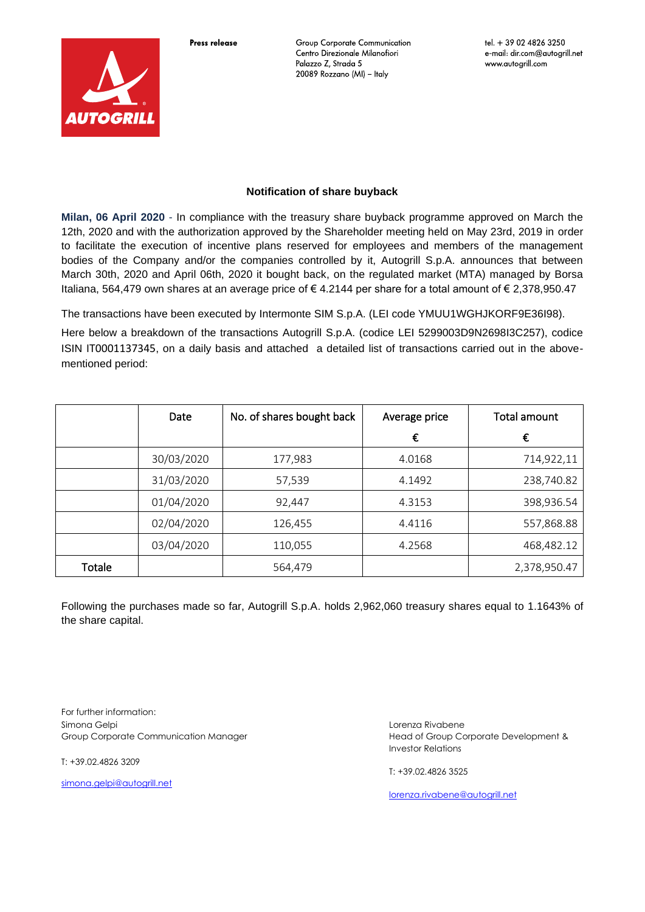Press release



**Group Corporate Communication** Centro Direzionale Milanofiori Palazzo Z, Strada 5 20089 Rozzano (MI) - Italy

## **Notification of share buyback**

**Milan, 06 April 2020** - In compliance with the treasury share buyback programme approved on March the 12th, 2020 and with the authorization approved by the Shareholder meeting held on May 23rd, 2019 in order to facilitate the execution of incentive plans reserved for employees and members of the management bodies of the Company and/or the companies controlled by it, Autogrill S.p.A. announces that between March 30th, 2020 and April 06th, 2020 it bought back, on the regulated market (MTA) managed by Borsa Italiana, 564,479 own shares at an average price of € 4.2144 per share for a total amount of € 2,378,950.47

The transactions have been executed by Intermonte SIM S.p.A. (LEI code YMUU1WGHJKORF9E36I98).

Here below a breakdown of the transactions Autogrill S.p.A. (codice LEI 5299003D9N2698I3C257), codice ISIN IT0001137345, on a daily basis and attached a detailed list of transactions carried out in the abovementioned period:

|        | Date       | No. of shares bought back | Average price | Total amount |
|--------|------------|---------------------------|---------------|--------------|
|        |            |                           | €             | €            |
|        | 30/03/2020 | 177,983                   | 4.0168        | 714,922,11   |
|        | 31/03/2020 | 57,539                    | 4.1492        | 238,740.82   |
|        | 01/04/2020 | 92,447                    | 4.3153        | 398,936.54   |
|        | 02/04/2020 | 126,455                   | 4.4116        | 557,868.88   |
|        | 03/04/2020 | 110,055                   | 4.2568        | 468,482.12   |
| Totale |            | 564,479                   |               | 2,378,950.47 |

Following the purchases made so far, Autogrill S.p.A. holds 2,962,060 treasury shares equal to 1.1643% of the share capital.

For further information: Simona Gelpi Group Corporate Communication Manager

T: +39.02.4826 3209

[simona.gelpi@autogrill.net](mailto:simona.gelpi@autogrill.net)

Lorenza Rivabene Head of Group Corporate Development & Investor Relations

T: +39.02.4826 3525

[lorenza.rivabene@autogrill.net](mailto:lorenza.rivabene@autogrill.net)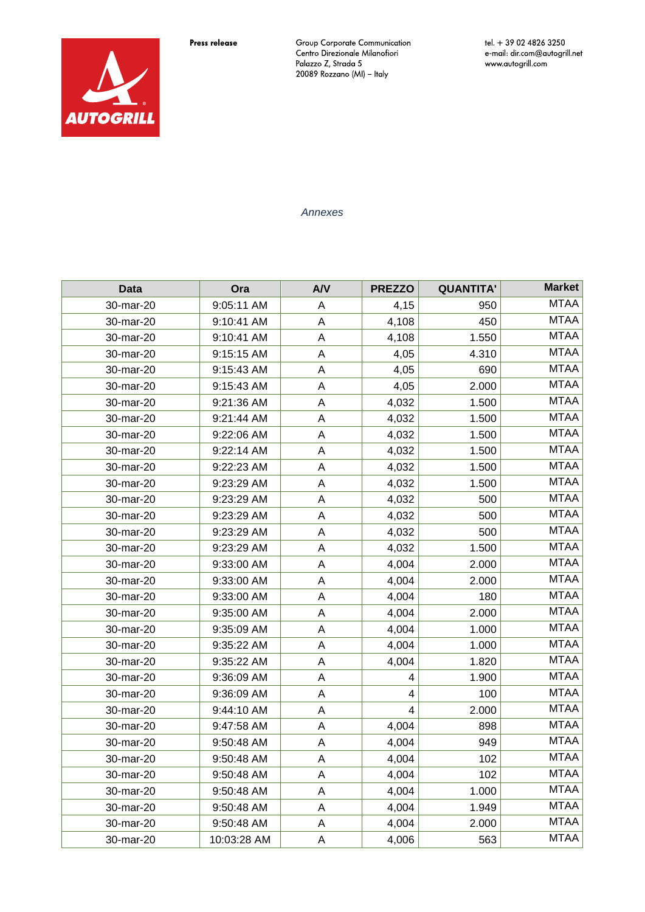Press release



Group Corporate Communication<br>Centro Direzionale Milanofiori<br>Palazzo Z, Strada 5<br>20089 Rozzano (MI) – Italy

tel. + 39 02 4826 3250 e-mail: dir.com@autogrill.net<br>www.autogrill.com

*Annexes*

| <b>Data</b> | Ora         | A/V         | <b>PREZZO</b> | <b>QUANTITA'</b> | <b>Market</b> |
|-------------|-------------|-------------|---------------|------------------|---------------|
| 30-mar-20   | 9:05:11 AM  | Α           | 4,15          | 950              | <b>MTAA</b>   |
| 30-mar-20   | 9:10:41 AM  | A           | 4,108         | 450              | <b>MTAA</b>   |
| 30-mar-20   | 9:10:41 AM  | A           | 4,108         | 1.550            | <b>MTAA</b>   |
| 30-mar-20   | 9:15:15 AM  | $\mathsf A$ | 4,05          | 4.310            | <b>MTAA</b>   |
| 30-mar-20   | 9:15:43 AM  | $\mathsf A$ | 4,05          | 690              | <b>MTAA</b>   |
| 30-mar-20   | 9:15:43 AM  | A           | 4,05          | 2.000            | <b>MTAA</b>   |
| 30-mar-20   | 9:21:36 AM  | $\mathsf A$ | 4,032         | 1.500            | <b>MTAA</b>   |
| 30-mar-20   | 9:21:44 AM  | $\mathsf A$ | 4,032         | 1.500            | <b>MTAA</b>   |
| 30-mar-20   | 9:22:06 AM  | A           | 4,032         | 1.500            | <b>MTAA</b>   |
| 30-mar-20   | 9:22:14 AM  | A           | 4,032         | 1.500            | <b>MTAA</b>   |
| 30-mar-20   | 9:22:23 AM  | A           | 4,032         | 1.500            | <b>MTAA</b>   |
| 30-mar-20   | 9:23:29 AM  | $\mathsf A$ | 4,032         | 1.500            | <b>MTAA</b>   |
| 30-mar-20   | 9:23:29 AM  | $\mathsf A$ | 4,032         | 500              | <b>MTAA</b>   |
| 30-mar-20   | 9:23:29 AM  | A           | 4,032         | 500              | <b>MTAA</b>   |
| 30-mar-20   | 9:23:29 AM  | $\mathsf A$ | 4,032         | 500              | <b>MTAA</b>   |
| 30-mar-20   | 9:23:29 AM  | A           | 4,032         | 1.500            | <b>MTAA</b>   |
| 30-mar-20   | 9:33:00 AM  | A           | 4,004         | 2.000            | <b>MTAA</b>   |
| 30-mar-20   | 9:33:00 AM  | A           | 4,004         | 2.000            | <b>MTAA</b>   |
| 30-mar-20   | 9:33:00 AM  | $\mathsf A$ | 4,004         | 180              | <b>MTAA</b>   |
| 30-mar-20   | 9:35:00 AM  | $\sf A$     | 4,004         | 2.000            | <b>MTAA</b>   |
| 30-mar-20   | 9:35:09 AM  | $\mathsf A$ | 4,004         | 1.000            | <b>MTAA</b>   |
| 30-mar-20   | 9:35:22 AM  | $\mathsf A$ | 4,004         | 1.000            | <b>MTAA</b>   |
| 30-mar-20   | 9:35:22 AM  | A           | 4,004         | 1.820            | <b>MTAA</b>   |
| 30-mar-20   | 9:36:09 AM  | A           | 4             | 1.900            | <b>MTAA</b>   |
| 30-mar-20   | 9:36:09 AM  | $\mathsf A$ | 4             | 100              | <b>MTAA</b>   |
| 30-mar-20   | 9:44:10 AM  | $\sf A$     | 4             | 2.000            | <b>MTAA</b>   |
| 30-mar-20   | 9:47:58 AM  | A           | 4,004         | 898              | <b>MTAA</b>   |
| 30-mar-20   | 9:50:48 AM  | A           | 4,004         | 949              | <b>MTAA</b>   |
| 30-mar-20   | 9:50:48 AM  | A           | 4,004         | 102              | <b>MTAA</b>   |
| 30-mar-20   | 9:50:48 AM  | A           | 4,004         | 102              | <b>MTAA</b>   |
| 30-mar-20   | 9:50:48 AM  | A           | 4,004         | 1.000            | <b>MTAA</b>   |
| 30-mar-20   | 9:50:48 AM  | A           | 4,004         | 1.949            | <b>MTAA</b>   |
| 30-mar-20   | 9:50:48 AM  | $\mathsf A$ | 4,004         | 2.000            | <b>MTAA</b>   |
| 30-mar-20   | 10:03:28 AM | A           | 4,006         | 563              | <b>MTAA</b>   |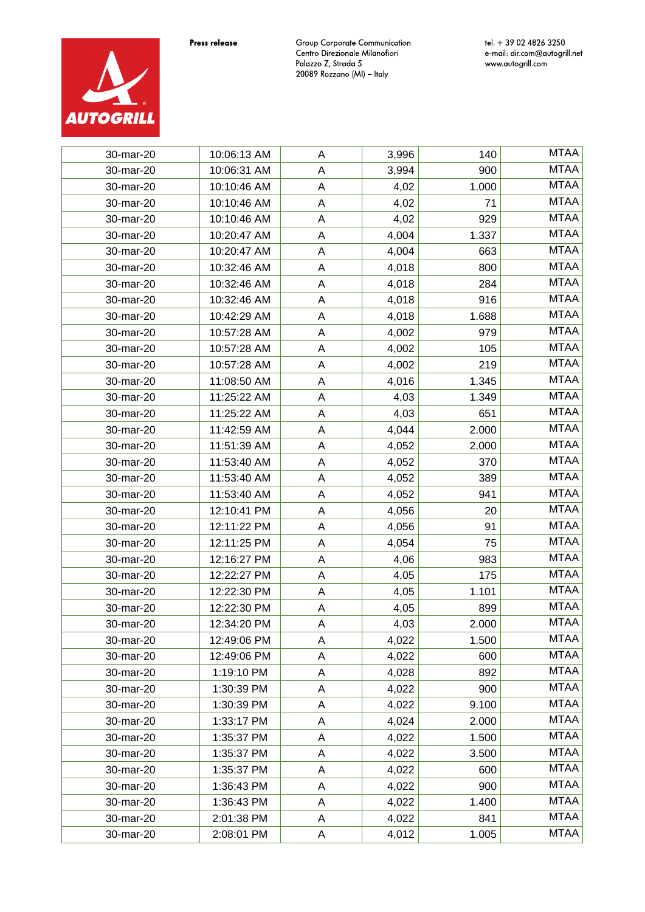



tel. + 39 02 4826 3250 e-mail: dir.com@autogrill.net<br>www.autogrill.com



| 30-mar-20 | 10:06:13 AM | A | 3,996 | 140   | <b>MTAA</b> |
|-----------|-------------|---|-------|-------|-------------|
| 30-mar-20 | 10:06:31 AM | A | 3,994 | 900   | <b>MTAA</b> |
| 30-mar-20 | 10:10:46 AM | Α | 4,02  | 1.000 | <b>MTAA</b> |
| 30-mar-20 | 10:10:46 AM | A | 4,02  | 71    | <b>MTAA</b> |
| 30-mar-20 | 10:10:46 AM | Α | 4,02  | 929   | <b>MTAA</b> |
| 30-mar-20 | 10:20:47 AM | A | 4,004 | 1.337 | <b>MTAA</b> |
| 30-mar-20 | 10:20:47 AM | Α | 4,004 | 663   | <b>MTAA</b> |
| 30-mar-20 | 10:32:46 AM | A | 4,018 | 800   | <b>MTAA</b> |
| 30-mar-20 | 10:32:46 AM | Α | 4,018 | 284   | <b>MTAA</b> |
| 30-mar-20 | 10:32:46 AM | A | 4,018 | 916   | <b>MTAA</b> |
| 30-mar-20 | 10:42:29 AM | Α | 4,018 | 1.688 | <b>MTAA</b> |
| 30-mar-20 | 10:57:28 AM | A | 4,002 | 979   | <b>MTAA</b> |
| 30-mar-20 | 10:57:28 AM | Α | 4,002 | 105   | <b>MTAA</b> |
| 30-mar-20 | 10:57:28 AM | A | 4,002 | 219   | <b>MTAA</b> |
| 30-mar-20 | 11:08:50 AM | Α | 4,016 | 1.345 | <b>MTAA</b> |
| 30-mar-20 | 11:25:22 AM | A | 4,03  | 1.349 | <b>MTAA</b> |
| 30-mar-20 | 11:25:22 AM | Α | 4,03  | 651   | <b>MTAA</b> |
| 30-mar-20 | 11:42:59 AM | A | 4,044 | 2.000 | <b>MTAA</b> |
| 30-mar-20 | 11:51:39 AM | A | 4,052 | 2.000 | <b>MTAA</b> |
| 30-mar-20 | 11:53:40 AM | A | 4,052 | 370   | <b>MTAA</b> |
| 30-mar-20 | 11:53:40 AM | A | 4,052 | 389   | <b>MTAA</b> |
| 30-mar-20 | 11:53:40 AM | A | 4,052 | 941   | <b>MTAA</b> |
| 30-mar-20 | 12:10:41 PM | Α | 4,056 | 20    | <b>MTAA</b> |
| 30-mar-20 | 12:11:22 PM | А | 4,056 | 91    | <b>MTAA</b> |
| 30-mar-20 | 12:11:25 PM | Α | 4,054 | 75    | <b>MTAA</b> |
| 30-mar-20 | 12:16:27 PM | A | 4,06  | 983   | <b>MTAA</b> |
| 30-mar-20 | 12:22:27 PM | Α | 4,05  | 175   | <b>MTAA</b> |
| 30-mar-20 | 12:22:30 PM | A | 4,05  | 1.101 | <b>MTAA</b> |
| 30-mar-20 | 12:22:30 PM | Α | 4,05  | 899   | <b>MTAA</b> |
| 30-mar-20 | 12:34:20 PM | A | 4,03  | 2.000 | <b>MTAA</b> |
| 30-mar-20 | 12:49:06 PM | Α | 4,022 | 1.500 | MTAA        |
| 30-mar-20 | 12:49:06 PM | A | 4,022 | 600   | <b>MTAA</b> |
| 30-mar-20 | 1:19:10 PM  | Α | 4,028 | 892   | <b>MTAA</b> |
| 30-mar-20 | 1:30:39 PM  | A | 4,022 | 900   | <b>MTAA</b> |
| 30-mar-20 | 1:30:39 PM  | Α | 4,022 | 9.100 | <b>MTAA</b> |
| 30-mar-20 | 1:33:17 PM  | A | 4,024 | 2.000 | <b>MTAA</b> |
| 30-mar-20 | 1:35:37 PM  | Α | 4,022 | 1.500 | <b>MTAA</b> |
| 30-mar-20 | 1:35:37 PM  | A | 4,022 | 3.500 | <b>MTAA</b> |
| 30-mar-20 | 1:35:37 PM  | Α | 4,022 | 600   | <b>MTAA</b> |
| 30-mar-20 | 1:36:43 PM  | Α | 4,022 | 900   | <b>MTAA</b> |
| 30-mar-20 | 1:36:43 PM  | Α | 4,022 | 1.400 | <b>MTAA</b> |
| 30-mar-20 | 2:01:38 PM  | Α | 4,022 | 841   | <b>MTAA</b> |
| 30-mar-20 | 2:08:01 PM  | A | 4,012 | 1.005 | <b>MTAA</b> |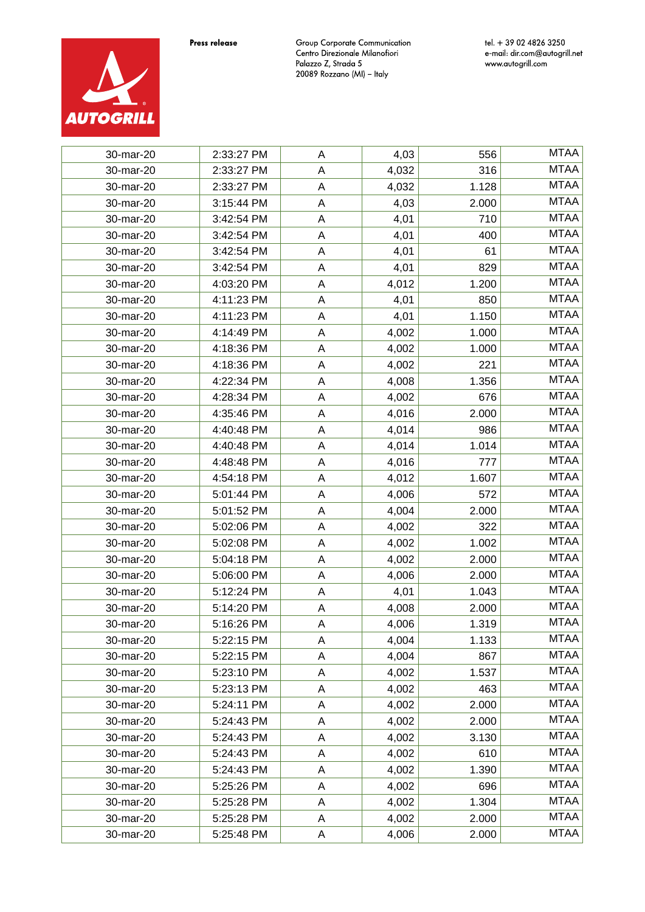

| 30-mar-20 | 2:33:27 PM | A           | 4,03  | 556   | <b>MTAA</b> |
|-----------|------------|-------------|-------|-------|-------------|
| 30-mar-20 | 2:33:27 PM | A           | 4,032 | 316   | <b>MTAA</b> |
| 30-mar-20 | 2:33:27 PM | A           | 4,032 | 1.128 | <b>MTAA</b> |
| 30-mar-20 | 3:15:44 PM | A           | 4,03  | 2.000 | <b>MTAA</b> |
| 30-mar-20 | 3:42:54 PM | A           | 4,01  | 710   | <b>MTAA</b> |
| 30-mar-20 | 3:42:54 PM | A           | 4,01  | 400   | <b>MTAA</b> |
| 30-mar-20 | 3:42:54 PM | A           | 4,01  | 61    | <b>MTAA</b> |
| 30-mar-20 | 3:42:54 PM | A           | 4,01  | 829   | <b>MTAA</b> |
| 30-mar-20 | 4:03:20 PM | A           | 4,012 | 1.200 | <b>MTAA</b> |
| 30-mar-20 | 4:11:23 PM | A           | 4,01  | 850   | <b>MTAA</b> |
| 30-mar-20 | 4:11:23 PM | A           | 4,01  | 1.150 | <b>MTAA</b> |
| 30-mar-20 | 4:14:49 PM | A           | 4,002 | 1.000 | <b>MTAA</b> |
| 30-mar-20 | 4:18:36 PM | A           | 4,002 | 1.000 | <b>MTAA</b> |
| 30-mar-20 | 4:18:36 PM | A           | 4,002 | 221   | <b>MTAA</b> |
| 30-mar-20 | 4:22:34 PM | A           | 4,008 | 1.356 | <b>MTAA</b> |
| 30-mar-20 | 4:28:34 PM | $\mathsf A$ | 4,002 | 676   | <b>MTAA</b> |
| 30-mar-20 | 4:35:46 PM | A           | 4,016 | 2.000 | <b>MTAA</b> |
| 30-mar-20 | 4:40:48 PM | A           | 4,014 | 986   | <b>MTAA</b> |
| 30-mar-20 | 4:40:48 PM | Α           | 4,014 | 1.014 | <b>MTAA</b> |
| 30-mar-20 | 4:48:48 PM | A           | 4,016 | 777   | <b>MTAA</b> |
| 30-mar-20 | 4:54:18 PM | A           | 4,012 | 1.607 | <b>MTAA</b> |
| 30-mar-20 | 5:01:44 PM | A           | 4,006 | 572   | <b>MTAA</b> |
| 30-mar-20 | 5:01:52 PM | A           | 4,004 | 2.000 | <b>MTAA</b> |
| 30-mar-20 | 5:02:06 PM | A           | 4,002 | 322   | <b>MTAA</b> |
| 30-mar-20 | 5:02:08 PM | Α           | 4,002 | 1.002 | <b>MTAA</b> |
| 30-mar-20 | 5:04:18 PM | A           | 4,002 | 2.000 | <b>MTAA</b> |
| 30-mar-20 | 5:06:00 PM | A           | 4,006 | 2.000 | <b>MTAA</b> |
| 30-mar-20 | 5:12:24 PM | A           | 4,01  | 1.043 | <b>MTAA</b> |
| 30-mar-20 | 5:14:20 PM | A           | 4,008 | 2.000 | <b>MTAA</b> |
| 30-mar-20 | 5:16:26 PM | A           | 4,006 | 1.319 | <b>MTAA</b> |
| 30-mar-20 | 5:22:15 PM | A           | 4,004 | 1.133 | <b>MTAA</b> |
| 30-mar-20 | 5:22:15 PM | A           | 4,004 | 867   | <b>MTAA</b> |
| 30-mar-20 | 5:23:10 PM | A           | 4,002 | 1.537 | <b>MTAA</b> |
| 30-mar-20 | 5:23:13 PM | A           | 4,002 | 463   | <b>MTAA</b> |
| 30-mar-20 | 5:24:11 PM | A           | 4,002 | 2.000 | <b>MTAA</b> |
| 30-mar-20 | 5:24:43 PM | Α           | 4,002 | 2.000 | <b>MTAA</b> |
| 30-mar-20 | 5:24:43 PM | Α           | 4,002 | 3.130 | <b>MTAA</b> |
| 30-mar-20 | 5:24:43 PM | A           | 4,002 | 610   | <b>MTAA</b> |
| 30-mar-20 | 5:24:43 PM | Α           | 4,002 | 1.390 | <b>MTAA</b> |
| 30-mar-20 | 5:25:26 PM | Α           | 4,002 | 696   | <b>MTAA</b> |
| 30-mar-20 | 5:25:28 PM | Α           | 4,002 | 1.304 | <b>MTAA</b> |
| 30-mar-20 | 5:25:28 PM | A           | 4,002 | 2.000 | <b>MTAA</b> |
| 30-mar-20 | 5:25:48 PM | Α           | 4,006 | 2.000 | <b>MTAA</b> |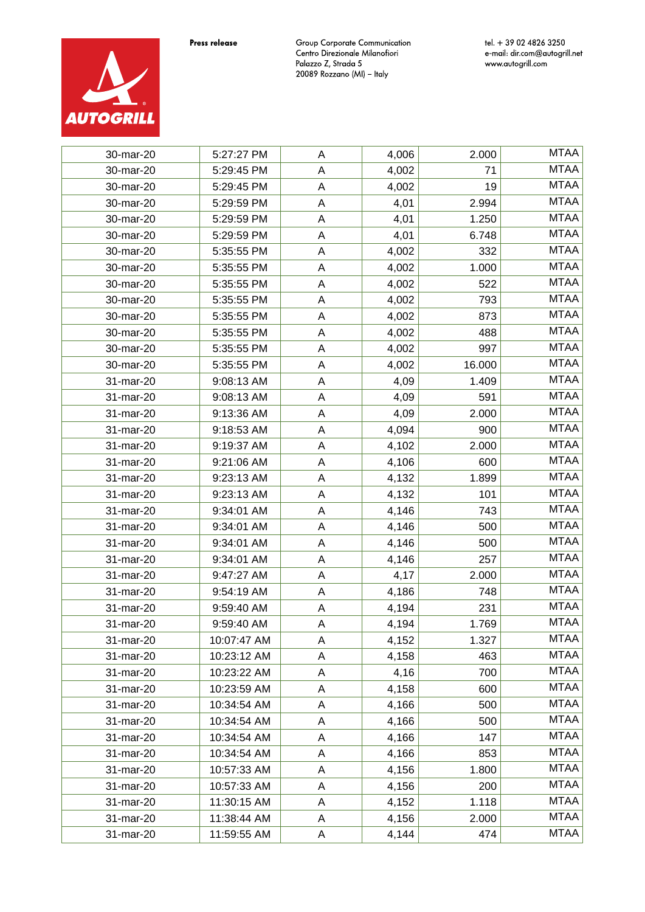

| 30-mar-20 | 5:27:27 PM  | Α | 4,006 | 2.000  | <b>MTAA</b> |
|-----------|-------------|---|-------|--------|-------------|
| 30-mar-20 | 5:29:45 PM  | Α | 4,002 | 71     | <b>MTAA</b> |
| 30-mar-20 | 5:29:45 PM  | А | 4,002 | 19     | <b>MTAA</b> |
| 30-mar-20 | 5:29:59 PM  | А | 4,01  | 2.994  | <b>MTAA</b> |
| 30-mar-20 | 5:29:59 PM  | A | 4,01  | 1.250  | <b>MTAA</b> |
| 30-mar-20 | 5:29:59 PM  | А | 4,01  | 6.748  | <b>MTAA</b> |
| 30-mar-20 | 5:35:55 PM  | А | 4,002 | 332    | <b>MTAA</b> |
| 30-mar-20 | 5:35:55 PM  | А | 4,002 | 1.000  | <b>MTAA</b> |
| 30-mar-20 | 5:35:55 PM  | Α | 4,002 | 522    | <b>MTAA</b> |
| 30-mar-20 | 5:35:55 PM  | A | 4,002 | 793    | <b>MTAA</b> |
| 30-mar-20 | 5:35:55 PM  | A | 4,002 | 873    | <b>MTAA</b> |
| 30-mar-20 | 5:35:55 PM  | А | 4,002 | 488    | <b>MTAA</b> |
| 30-mar-20 | 5:35:55 PM  | Α | 4,002 | 997    | <b>MTAA</b> |
| 30-mar-20 | 5:35:55 PM  | А | 4,002 | 16.000 | <b>MTAA</b> |
| 31-mar-20 | 9:08:13 AM  | Α | 4,09  | 1.409  | <b>MTAA</b> |
| 31-mar-20 | 9:08:13 AM  | Α | 4,09  | 591    | <b>MTAA</b> |
| 31-mar-20 | 9:13:36 AM  | Α | 4,09  | 2.000  | <b>MTAA</b> |
| 31-mar-20 | 9:18:53 AM  | Α | 4,094 | 900    | <b>MTAA</b> |
| 31-mar-20 | 9:19:37 AM  | Α | 4,102 | 2.000  | <b>MTAA</b> |
| 31-mar-20 | 9:21:06 AM  | Α | 4,106 | 600    | <b>MTAA</b> |
| 31-mar-20 | 9:23:13 AM  | A | 4,132 | 1.899  | <b>MTAA</b> |
| 31-mar-20 | 9:23:13 AM  | Α | 4,132 | 101    | <b>MTAA</b> |
| 31-mar-20 | 9:34:01 AM  | Α | 4,146 | 743    | <b>MTAA</b> |
| 31-mar-20 | 9:34:01 AM  | Α | 4,146 | 500    | <b>MTAA</b> |
| 31-mar-20 | 9:34:01 AM  | Α | 4,146 | 500    | <b>MTAA</b> |
| 31-mar-20 | 9:34:01 AM  | Α | 4,146 | 257    | <b>MTAA</b> |
| 31-mar-20 | 9:47:27 AM  | Α | 4,17  | 2.000  | <b>MTAA</b> |
| 31-mar-20 | 9:54:19 AM  | Α | 4,186 | 748    | <b>MTAA</b> |
| 31-mar-20 | 9:59:40 AM  | Α | 4,194 | 231    | <b>MTAA</b> |
| 31-mar-20 | 9:59:40 AM  | A | 4,194 | 1.769  | <b>MTAA</b> |
| 31-mar-20 | 10:07:47 AM | A | 4,152 | 1.327  | <b>MTAA</b> |
| 31-mar-20 | 10:23:12 AM | Α | 4,158 | 463    | <b>MTAA</b> |
| 31-mar-20 | 10:23:22 AM | A | 4,16  | 700    | <b>MTAA</b> |
| 31-mar-20 | 10:23:59 AM | Α | 4,158 | 600    | <b>MTAA</b> |
| 31-mar-20 | 10:34:54 AM | A | 4,166 | 500    | <b>MTAA</b> |
| 31-mar-20 | 10:34:54 AM | Α | 4,166 | 500    | <b>MTAA</b> |
| 31-mar-20 | 10:34:54 AM | A | 4,166 | 147    | <b>MTAA</b> |
| 31-mar-20 | 10:34:54 AM | Α | 4,166 | 853    | <b>MTAA</b> |
| 31-mar-20 | 10:57:33 AM | Α | 4,156 | 1.800  | <b>MTAA</b> |
| 31-mar-20 | 10:57:33 AM | Α | 4,156 | 200    | <b>MTAA</b> |
| 31-mar-20 | 11:30:15 AM | Α | 4,152 | 1.118  | <b>MTAA</b> |
| 31-mar-20 | 11:38:44 AM | Α | 4,156 | 2.000  | <b>MTAA</b> |
| 31-mar-20 | 11:59:55 AM | A | 4,144 | 474    | <b>MTAA</b> |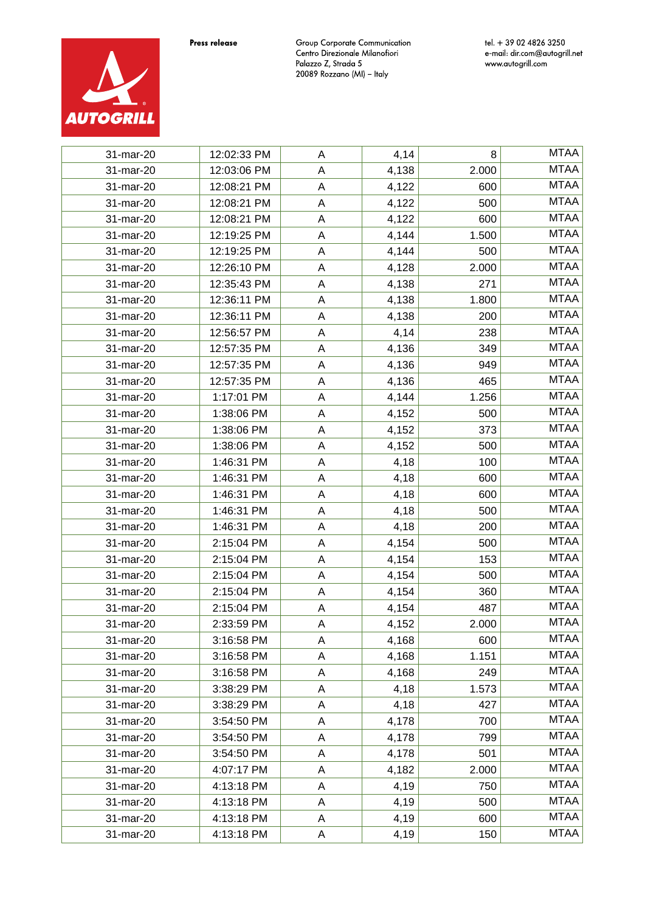

| 31-mar-20 | 12:02:33 PM | A           | 4,14  | 8     | <b>MTAA</b> |
|-----------|-------------|-------------|-------|-------|-------------|
| 31-mar-20 | 12:03:06 PM | A           | 4,138 | 2.000 | <b>MTAA</b> |
| 31-mar-20 | 12:08:21 PM | A           | 4,122 | 600   | <b>MTAA</b> |
| 31-mar-20 | 12:08:21 PM | A           | 4,122 | 500   | <b>MTAA</b> |
| 31-mar-20 | 12:08:21 PM | A           | 4,122 | 600   | <b>MTAA</b> |
| 31-mar-20 | 12:19:25 PM | A           | 4,144 | 1.500 | <b>MTAA</b> |
| 31-mar-20 | 12:19:25 PM | A           | 4,144 | 500   | <b>MTAA</b> |
| 31-mar-20 | 12:26:10 PM | A           | 4,128 | 2.000 | <b>MTAA</b> |
| 31-mar-20 | 12:35:43 PM | A           | 4,138 | 271   | <b>MTAA</b> |
| 31-mar-20 | 12:36:11 PM | A           | 4,138 | 1.800 | <b>MTAA</b> |
| 31-mar-20 | 12:36:11 PM | A           | 4,138 | 200   | <b>MTAA</b> |
| 31-mar-20 | 12:56:57 PM | A           | 4,14  | 238   | <b>MTAA</b> |
| 31-mar-20 | 12:57:35 PM | A           | 4,136 | 349   | <b>MTAA</b> |
| 31-mar-20 | 12:57:35 PM | A           | 4,136 | 949   | <b>MTAA</b> |
| 31-mar-20 | 12:57:35 PM | A           | 4,136 | 465   | <b>MTAA</b> |
| 31-mar-20 | 1:17:01 PM  | $\mathsf A$ | 4,144 | 1.256 | <b>MTAA</b> |
| 31-mar-20 | 1:38:06 PM  | A           | 4,152 | 500   | <b>MTAA</b> |
| 31-mar-20 | 1:38:06 PM  | A           | 4,152 | 373   | <b>MTAA</b> |
| 31-mar-20 | 1:38:06 PM  | Α           | 4,152 | 500   | <b>MTAA</b> |
| 31-mar-20 | 1:46:31 PM  | A           | 4,18  | 100   | <b>MTAA</b> |
| 31-mar-20 | 1:46:31 PM  | A           | 4,18  | 600   | <b>MTAA</b> |
| 31-mar-20 | 1:46:31 PM  | A           | 4,18  | 600   | <b>MTAA</b> |
| 31-mar-20 | 1:46:31 PM  | A           | 4,18  | 500   | <b>MTAA</b> |
| 31-mar-20 | 1:46:31 PM  | A           | 4,18  | 200   | <b>MTAA</b> |
| 31-mar-20 | 2:15:04 PM  | Α           | 4,154 | 500   | <b>MTAA</b> |
| 31-mar-20 | 2:15:04 PM  | A           | 4,154 | 153   | <b>MTAA</b> |
| 31-mar-20 | 2:15:04 PM  | A           | 4,154 | 500   | <b>MTAA</b> |
| 31-mar-20 | 2:15:04 PM  | A           | 4,154 | 360   | <b>MTAA</b> |
| 31-mar-20 | 2:15:04 PM  | A           | 4,154 | 487   | <b>MTAA</b> |
| 31-mar-20 | 2:33:59 PM  | A           | 4,152 | 2.000 | <b>MTAA</b> |
| 31-mar-20 | 3:16:58 PM  | A           | 4,168 | 600   | <b>MTAA</b> |
| 31-mar-20 | 3:16:58 PM  | A           | 4,168 | 1.151 | <b>MTAA</b> |
| 31-mar-20 | 3:16:58 PM  | A           | 4,168 | 249   | <b>MTAA</b> |
| 31-mar-20 | 3:38:29 PM  | A           | 4,18  | 1.573 | <b>MTAA</b> |
| 31-mar-20 | 3:38:29 PM  | A           | 4,18  | 427   | <b>MTAA</b> |
| 31-mar-20 | 3:54:50 PM  | Α           | 4,178 | 700   | <b>MTAA</b> |
| 31-mar-20 | 3:54:50 PM  | Α           | 4,178 | 799   | <b>MTAA</b> |
| 31-mar-20 | 3:54:50 PM  | A           | 4,178 | 501   | <b>MTAA</b> |
| 31-mar-20 | 4:07:17 PM  | A           | 4,182 | 2.000 | <b>MTAA</b> |
| 31-mar-20 | 4:13:18 PM  | A           | 4,19  | 750   | <b>MTAA</b> |
| 31-mar-20 | 4:13:18 PM  | Α           | 4,19  | 500   | <b>MTAA</b> |
| 31-mar-20 | 4:13:18 PM  | A           | 4,19  | 600   | <b>MTAA</b> |
| 31-mar-20 | 4:13:18 PM  | Α           | 4,19  | 150   | <b>MTAA</b> |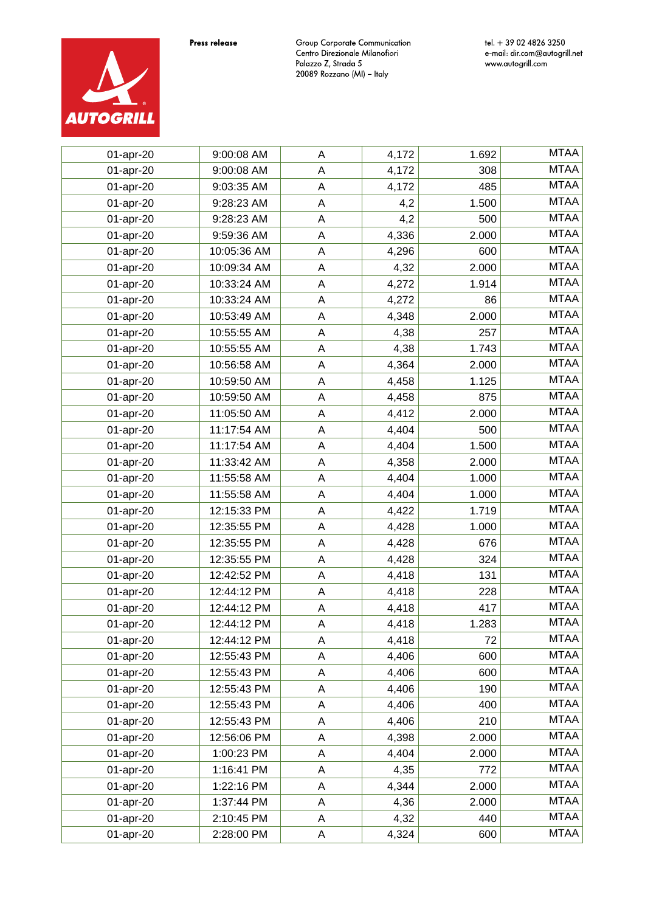

| 01-apr-20 | 9:00:08 AM  | A           | 4,172 | 1.692 | <b>MTAA</b> |
|-----------|-------------|-------------|-------|-------|-------------|
| 01-apr-20 | 9:00:08 AM  | $\mathsf A$ | 4,172 | 308   | <b>MTAA</b> |
| 01-apr-20 | 9:03:35 AM  | $\mathsf A$ | 4,172 | 485   | <b>MTAA</b> |
| 01-apr-20 | 9:28:23 AM  | $\mathsf A$ | 4,2   | 1.500 | <b>MTAA</b> |
| 01-apr-20 | 9:28:23 AM  | $\mathsf A$ | 4,2   | 500   | <b>MTAA</b> |
| 01-apr-20 | 9:59:36 AM  | $\mathsf A$ | 4,336 | 2.000 | <b>MTAA</b> |
| 01-apr-20 | 10:05:36 AM | $\mathsf A$ | 4,296 | 600   | <b>MTAA</b> |
| 01-apr-20 | 10:09:34 AM | $\mathsf A$ | 4,32  | 2.000 | <b>MTAA</b> |
| 01-apr-20 | 10:33:24 AM | A           | 4,272 | 1.914 | <b>MTAA</b> |
| 01-apr-20 | 10:33:24 AM | $\mathsf A$ | 4,272 | 86    | <b>MTAA</b> |
| 01-apr-20 | 10:53:49 AM | $\mathsf A$ | 4,348 | 2.000 | <b>MTAA</b> |
| 01-apr-20 | 10:55:55 AM | A           | 4,38  | 257   | <b>MTAA</b> |
| 01-apr-20 | 10:55:55 AM | A           | 4,38  | 1.743 | <b>MTAA</b> |
| 01-apr-20 | 10:56:58 AM | $\mathsf A$ | 4,364 | 2.000 | <b>MTAA</b> |
| 01-apr-20 | 10:59:50 AM | A           | 4,458 | 1.125 | <b>MTAA</b> |
| 01-apr-20 | 10:59:50 AM | $\mathsf A$ | 4,458 | 875   | <b>MTAA</b> |
| 01-apr-20 | 11:05:50 AM | A           | 4,412 | 2.000 | <b>MTAA</b> |
| 01-apr-20 | 11:17:54 AM | A           | 4,404 | 500   | <b>MTAA</b> |
| 01-apr-20 | 11:17:54 AM | A           | 4,404 | 1.500 | <b>MTAA</b> |
| 01-apr-20 | 11:33:42 AM | A           | 4,358 | 2.000 | <b>MTAA</b> |
| 01-apr-20 | 11:55:58 AM | A           | 4,404 | 1.000 | <b>MTAA</b> |
| 01-apr-20 | 11:55:58 AM | A           | 4,404 | 1.000 | <b>MTAA</b> |
| 01-apr-20 | 12:15:33 PM | A           | 4,422 | 1.719 | <b>MTAA</b> |
| 01-apr-20 | 12:35:55 PM | A           | 4,428 | 1.000 | <b>MTAA</b> |
| 01-apr-20 | 12:35:55 PM | A           | 4,428 | 676   | <b>MTAA</b> |
| 01-apr-20 | 12:35:55 PM | A           | 4,428 | 324   | <b>MTAA</b> |
| 01-apr-20 | 12:42:52 PM | A           | 4,418 | 131   | <b>MTAA</b> |
| 01-apr-20 | 12:44:12 PM | A           | 4,418 | 228   | <b>MTAA</b> |
| 01-apr-20 | 12:44:12 PM | Α           | 4,418 | 417   | <b>MTAA</b> |
| 01-apr-20 | 12:44:12 PM | A           | 4,418 | 1.283 | <b>MTAA</b> |
| 01-apr-20 | 12:44:12 PM | A           | 4,418 | 72    | <b>MTAA</b> |
| 01-apr-20 | 12:55:43 PM | A           | 4,406 | 600   | <b>MTAA</b> |
| 01-apr-20 | 12:55:43 PM | Α           | 4,406 | 600   | <b>MTAA</b> |
| 01-apr-20 | 12:55:43 PM | A           | 4,406 | 190   | <b>MTAA</b> |
| 01-apr-20 | 12:55:43 PM | A           | 4,406 | 400   | <b>MTAA</b> |
| 01-apr-20 | 12:55:43 PM | A           | 4,406 | 210   | <b>MTAA</b> |
| 01-apr-20 | 12:56:06 PM | Α           | 4,398 | 2.000 | <b>MTAA</b> |
| 01-apr-20 | 1:00:23 PM  | $\mathsf A$ | 4,404 | 2.000 | <b>MTAA</b> |
| 01-apr-20 | 1:16:41 PM  | Α           | 4,35  | 772   | <b>MTAA</b> |
| 01-apr-20 | 1:22:16 PM  | A           | 4,344 | 2.000 | <b>MTAA</b> |
| 01-apr-20 | 1:37:44 PM  | Α           | 4,36  | 2.000 | <b>MTAA</b> |
| 01-apr-20 | 2:10:45 PM  | $\mathsf A$ | 4,32  | 440   | <b>MTAA</b> |
| 01-apr-20 | 2:28:00 PM  | A           | 4,324 | 600   | <b>MTAA</b> |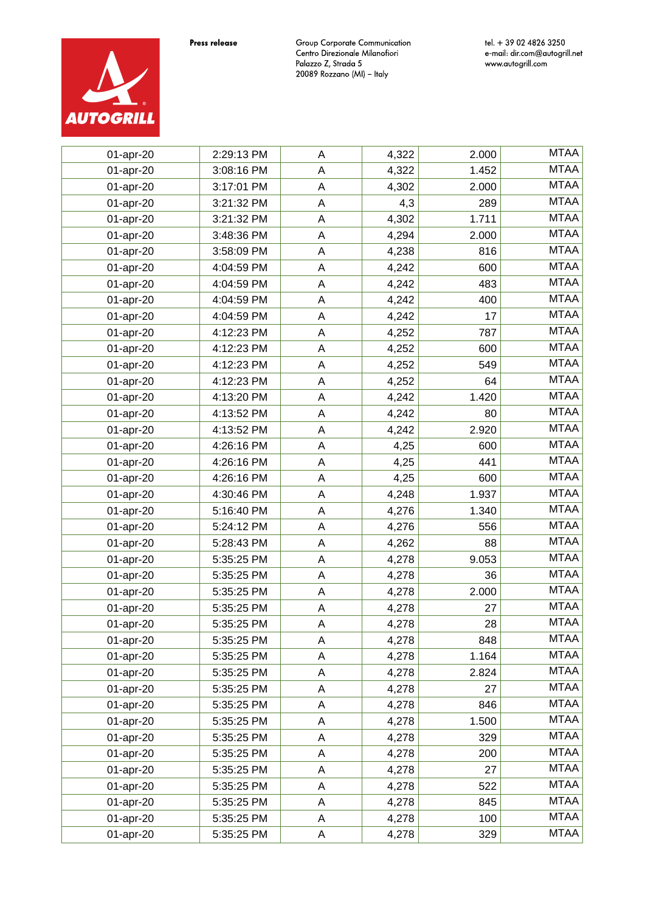

| 01-apr-20 | 2:29:13 PM | A           | 4,322 | 2.000 | <b>MTAA</b> |
|-----------|------------|-------------|-------|-------|-------------|
| 01-apr-20 | 3:08:16 PM | $\mathsf A$ | 4,322 | 1.452 | <b>MTAA</b> |
| 01-apr-20 | 3:17:01 PM | $\mathsf A$ | 4,302 | 2.000 | <b>MTAA</b> |
| 01-apr-20 | 3:21:32 PM | $\mathsf A$ | 4,3   | 289   | <b>MTAA</b> |
| 01-apr-20 | 3:21:32 PM | $\mathsf A$ | 4,302 | 1.711 | <b>MTAA</b> |
| 01-apr-20 | 3:48:36 PM | $\mathsf A$ | 4,294 | 2.000 | <b>MTAA</b> |
| 01-apr-20 | 3:58:09 PM | $\mathsf A$ | 4,238 | 816   | <b>MTAA</b> |
| 01-apr-20 | 4:04:59 PM | $\mathsf A$ | 4,242 | 600   | <b>MTAA</b> |
| 01-apr-20 | 4:04:59 PM | A           | 4,242 | 483   | <b>MTAA</b> |
| 01-apr-20 | 4:04:59 PM | $\mathsf A$ | 4,242 | 400   | <b>MTAA</b> |
| 01-apr-20 | 4:04:59 PM | $\mathsf A$ | 4,242 | 17    | <b>MTAA</b> |
| 01-apr-20 | 4:12:23 PM | $\mathsf A$ | 4,252 | 787   | <b>MTAA</b> |
| 01-apr-20 | 4:12:23 PM | A           | 4,252 | 600   | <b>MTAA</b> |
| 01-apr-20 | 4:12:23 PM | $\mathsf A$ | 4,252 | 549   | <b>MTAA</b> |
| 01-apr-20 | 4:12:23 PM | A           | 4,252 | 64    | <b>MTAA</b> |
| 01-apr-20 | 4:13:20 PM | $\mathsf A$ | 4,242 | 1.420 | <b>MTAA</b> |
| 01-apr-20 | 4:13:52 PM | A           | 4,242 | 80    | <b>MTAA</b> |
| 01-apr-20 | 4:13:52 PM | A           | 4,242 | 2.920 | <b>MTAA</b> |
| 01-apr-20 | 4:26:16 PM | A           | 4,25  | 600   | <b>MTAA</b> |
| 01-apr-20 | 4:26:16 PM | A           | 4,25  | 441   | <b>MTAA</b> |
| 01-apr-20 | 4:26:16 PM | A           | 4,25  | 600   | <b>MTAA</b> |
| 01-apr-20 | 4:30:46 PM | A           | 4,248 | 1.937 | <b>MTAA</b> |
| 01-apr-20 | 5:16:40 PM | A           | 4,276 | 1.340 | <b>MTAA</b> |
| 01-apr-20 | 5:24:12 PM | A           | 4,276 | 556   | <b>MTAA</b> |
| 01-apr-20 | 5:28:43 PM | A           | 4,262 | 88    | <b>MTAA</b> |
| 01-apr-20 | 5:35:25 PM | A           | 4,278 | 9.053 | <b>MTAA</b> |
| 01-apr-20 | 5:35:25 PM | A           | 4,278 | 36    | <b>MTAA</b> |
| 01-apr-20 | 5:35:25 PM | A           | 4,278 | 2.000 | <b>MTAA</b> |
| 01-apr-20 | 5:35:25 PM | Α           | 4,278 | 27    | <b>MTAA</b> |
| 01-apr-20 | 5:35:25 PM | A           | 4,278 | 28    | <b>MTAA</b> |
| 01-apr-20 | 5:35:25 PM | A           | 4,278 | 848   | <b>MTAA</b> |
| 01-apr-20 | 5:35:25 PM | A           | 4,278 | 1.164 | <b>MTAA</b> |
| 01-apr-20 | 5:35:25 PM | Α           | 4,278 | 2.824 | <b>MTAA</b> |
| 01-apr-20 | 5:35:25 PM | A           | 4,278 | 27    | <b>MTAA</b> |
| 01-apr-20 | 5:35:25 PM | A           | 4,278 | 846   | <b>MTAA</b> |
| 01-apr-20 | 5:35:25 PM | A           | 4,278 | 1.500 | <b>MTAA</b> |
| 01-apr-20 | 5:35:25 PM | Α           | 4,278 | 329   | <b>MTAA</b> |
| 01-apr-20 | 5:35:25 PM | $\mathsf A$ | 4,278 | 200   | <b>MTAA</b> |
| 01-apr-20 | 5:35:25 PM | Α           | 4,278 | 27    | <b>MTAA</b> |
| 01-apr-20 | 5:35:25 PM | A           | 4,278 | 522   | <b>MTAA</b> |
| 01-apr-20 | 5:35:25 PM | Α           | 4,278 | 845   | <b>MTAA</b> |
| 01-apr-20 | 5:35:25 PM | $\mathsf A$ | 4,278 | 100   | <b>MTAA</b> |
| 01-apr-20 | 5:35:25 PM | A           | 4,278 | 329   | <b>MTAA</b> |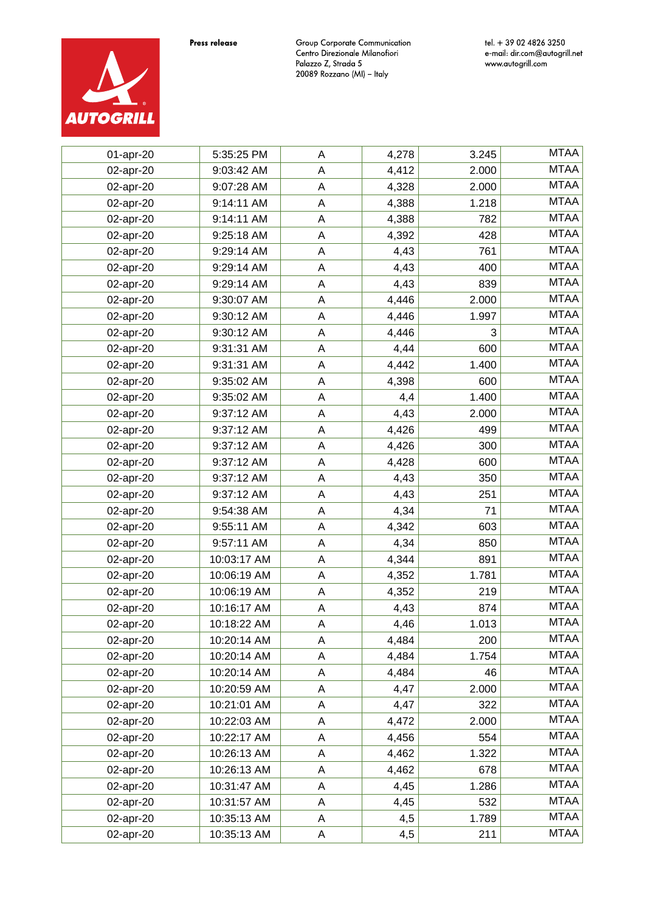

| 01-apr-20 | 5:35:25 PM  | A           | 4,278 | 3.245 | <b>MTAA</b> |
|-----------|-------------|-------------|-------|-------|-------------|
| 02-apr-20 | 9:03:42 AM  | A           | 4,412 | 2.000 | <b>MTAA</b> |
| 02-apr-20 | 9:07:28 AM  | $\sf A$     | 4,328 | 2.000 | <b>MTAA</b> |
| 02-apr-20 | 9:14:11 AM  | $\mathsf A$ | 4,388 | 1.218 | <b>MTAA</b> |
| 02-apr-20 | 9:14:11 AM  | A           | 4,388 | 782   | <b>MTAA</b> |
| 02-apr-20 | 9:25:18 AM  | A           | 4,392 | 428   | <b>MTAA</b> |
| 02-apr-20 | 9:29:14 AM  | A           | 4,43  | 761   | <b>MTAA</b> |
| 02-apr-20 | 9:29:14 AM  | A           | 4,43  | 400   | <b>MTAA</b> |
| 02-apr-20 | 9:29:14 AM  | A           | 4,43  | 839   | <b>MTAA</b> |
| 02-apr-20 | 9:30:07 AM  | A           | 4,446 | 2.000 | <b>MTAA</b> |
| 02-apr-20 | 9:30:12 AM  | A           | 4,446 | 1.997 | <b>MTAA</b> |
| 02-apr-20 | 9:30:12 AM  | A           | 4,446 | 3     | <b>MTAA</b> |
| 02-apr-20 | 9:31:31 AM  | A           | 4,44  | 600   | <b>MTAA</b> |
| 02-apr-20 | 9:31:31 AM  | A           | 4,442 | 1.400 | <b>MTAA</b> |
| 02-apr-20 | 9:35:02 AM  | $\mathsf A$ | 4,398 | 600   | <b>MTAA</b> |
| 02-apr-20 | 9:35:02 AM  | $\mathsf A$ | 4,4   | 1.400 | <b>MTAA</b> |
| 02-apr-20 | 9:37:12 AM  | $\mathsf A$ | 4,43  | 2.000 | <b>MTAA</b> |
| 02-apr-20 | 9:37:12 AM  | $\mathsf A$ | 4,426 | 499   | <b>MTAA</b> |
| 02-apr-20 | 9:37:12 AM  | $\mathsf A$ | 4,426 | 300   | <b>MTAA</b> |
| 02-apr-20 | 9:37:12 AM  | $\mathsf A$ | 4,428 | 600   | <b>MTAA</b> |
| 02-apr-20 | 9:37:12 AM  | $\mathsf A$ | 4,43  | 350   | <b>MTAA</b> |
| 02-apr-20 | 9:37:12 AM  | $\sf A$     | 4,43  | 251   | <b>MTAA</b> |
| 02-apr-20 | 9:54:38 AM  | $\mathsf A$ | 4,34  | 71    | <b>MTAA</b> |
| 02-apr-20 | 9:55:11 AM  | $\mathsf A$ | 4,342 | 603   | <b>MTAA</b> |
| 02-apr-20 | 9:57:11 AM  | $\mathsf A$ | 4,34  | 850   | <b>MTAA</b> |
| 02-apr-20 | 10:03:17 AM | $\mathsf A$ | 4,344 | 891   | <b>MTAA</b> |
| 02-apr-20 | 10:06:19 AM | $\mathsf A$ | 4,352 | 1.781 | <b>MTAA</b> |
| 02-apr-20 | 10:06:19 AM | $\sf A$     | 4,352 | 219   | <b>MTAA</b> |
| 02-apr-20 | 10:16:17 AM | A           | 4,43  | 874   | <b>MTAA</b> |
| 02-apr-20 | 10:18:22 AM | $\mathsf A$ | 4,46  | 1.013 | <b>MTAA</b> |
| 02-apr-20 | 10:20:14 AM | A           | 4,484 | 200   | <b>MTAA</b> |
| 02-apr-20 | 10:20:14 AM | A           | 4,484 | 1.754 | <b>MTAA</b> |
| 02-apr-20 | 10:20:14 AM | A           | 4,484 | 46    | <b>MTAA</b> |
| 02-apr-20 | 10:20:59 AM | A           | 4,47  | 2.000 | <b>MTAA</b> |
| 02-apr-20 | 10:21:01 AM | A           | 4,47  | 322   | <b>MTAA</b> |
| 02-apr-20 | 10:22:03 AM | A           | 4,472 | 2.000 | <b>MTAA</b> |
| 02-apr-20 | 10:22:17 AM | A           | 4,456 | 554   | <b>MTAA</b> |
| 02-apr-20 | 10:26:13 AM | A           | 4,462 | 1.322 | <b>MTAA</b> |
| 02-apr-20 | 10:26:13 AM | A           | 4,462 | 678   | <b>MTAA</b> |
| 02-apr-20 | 10:31:47 AM | A           | 4,45  | 1.286 | <b>MTAA</b> |
| 02-apr-20 | 10:31:57 AM | A           | 4,45  | 532   | <b>MTAA</b> |
| 02-apr-20 | 10:35:13 AM | A           | 4,5   | 1.789 | <b>MTAA</b> |
| 02-apr-20 | 10:35:13 AM | A           | 4,5   | 211   | <b>MTAA</b> |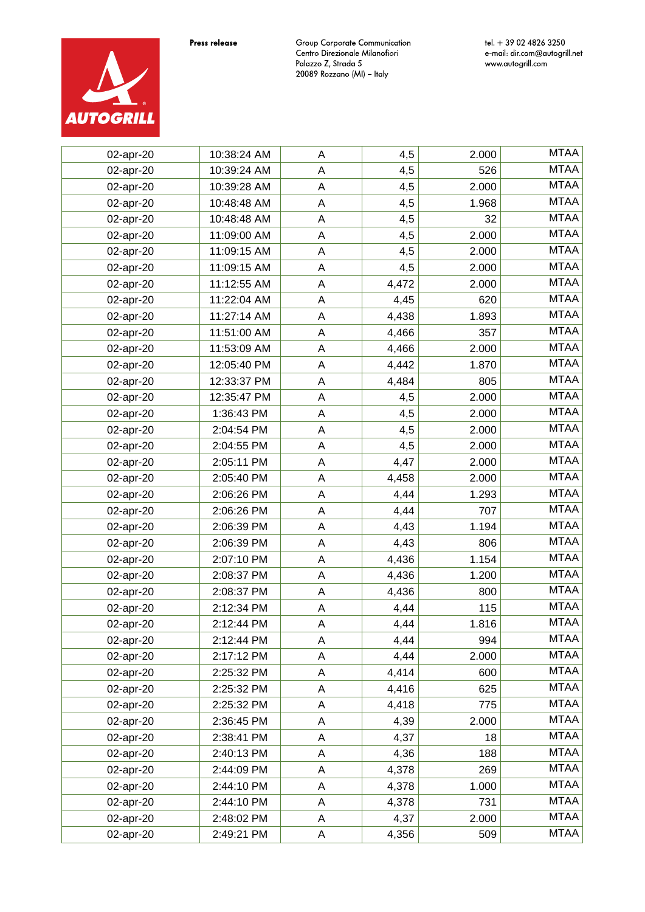

| 02-apr-20 | 10:38:24 AM | A           | 4,5   | 2.000 | <b>MTAA</b> |
|-----------|-------------|-------------|-------|-------|-------------|
| 02-apr-20 | 10:39:24 AM | $\mathsf A$ | 4,5   | 526   | <b>MTAA</b> |
| 02-apr-20 | 10:39:28 AM | $\mathsf A$ | 4,5   | 2.000 | <b>MTAA</b> |
| 02-apr-20 | 10:48:48 AM | $\mathsf A$ | 4,5   | 1.968 | <b>MTAA</b> |
| 02-apr-20 | 10:48:48 AM | $\mathsf A$ | 4,5   | 32    | <b>MTAA</b> |
| 02-apr-20 | 11:09:00 AM | $\mathsf A$ | 4,5   | 2.000 | <b>MTAA</b> |
| 02-apr-20 | 11:09:15 AM | $\mathsf A$ | 4,5   | 2.000 | <b>MTAA</b> |
| 02-apr-20 | 11:09:15 AM | $\mathsf A$ | 4,5   | 2.000 | <b>MTAA</b> |
| 02-apr-20 | 11:12:55 AM | A           | 4,472 | 2.000 | <b>MTAA</b> |
| 02-apr-20 | 11:22:04 AM | $\mathsf A$ | 4,45  | 620   | <b>MTAA</b> |
| 02-apr-20 | 11:27:14 AM | $\mathsf A$ | 4,438 | 1.893 | <b>MTAA</b> |
| 02-apr-20 | 11:51:00 AM | $\mathsf A$ | 4,466 | 357   | <b>MTAA</b> |
| 02-apr-20 | 11:53:09 AM | A           | 4,466 | 2.000 | <b>MTAA</b> |
| 02-apr-20 | 12:05:40 PM | $\mathsf A$ | 4,442 | 1.870 | <b>MTAA</b> |
| 02-apr-20 | 12:33:37 PM | A           | 4,484 | 805   | <b>MTAA</b> |
| 02-apr-20 | 12:35:47 PM | A           | 4,5   | 2.000 | <b>MTAA</b> |
| 02-apr-20 | 1:36:43 PM  | A           | 4,5   | 2.000 | <b>MTAA</b> |
| 02-apr-20 | 2:04:54 PM  | $\mathsf A$ | 4,5   | 2.000 | <b>MTAA</b> |
| 02-apr-20 | 2:04:55 PM  | A           | 4,5   | 2.000 | <b>MTAA</b> |
| 02-apr-20 | 2:05:11 PM  | $\mathsf A$ | 4,47  | 2.000 | <b>MTAA</b> |
| 02-apr-20 | 2:05:40 PM  | A           | 4,458 | 2.000 | <b>MTAA</b> |
| 02-apr-20 | 2:06:26 PM  | $\mathsf A$ | 4,44  | 1.293 | <b>MTAA</b> |
| 02-apr-20 | 2:06:26 PM  | A           | 4,44  | 707   | <b>MTAA</b> |
| 02-apr-20 | 2:06:39 PM  | $\mathsf A$ | 4,43  | 1.194 | <b>MTAA</b> |
| 02-apr-20 | 2:06:39 PM  | A           | 4,43  | 806   | <b>MTAA</b> |
| 02-apr-20 | 2:07:10 PM  | A           | 4,436 | 1.154 | <b>MTAA</b> |
| 02-apr-20 | 2:08:37 PM  | A           | 4,436 | 1.200 | <b>MTAA</b> |
| 02-apr-20 | 2:08:37 PM  | A           | 4,436 | 800   | <b>MTAA</b> |
| 02-apr-20 | 2:12:34 PM  | A           | 4,44  | 115   | <b>MTAA</b> |
| 02-apr-20 | 2:12:44 PM  | A           | 4,44  | 1.816 | <b>MTAA</b> |
| 02-apr-20 | 2:12:44 PM  | A           | 4,44  | 994   | <b>MTAA</b> |
| 02-apr-20 | 2:17:12 PM  | A           | 4,44  | 2.000 | <b>MTAA</b> |
| 02-apr-20 | 2:25:32 PM  | Α           | 4,414 | 600   | <b>MTAA</b> |
| 02-apr-20 | 2:25:32 PM  | $\mathsf A$ | 4,416 | 625   | <b>MTAA</b> |
| 02-apr-20 | 2:25:32 PM  | A           | 4,418 | 775   | <b>MTAA</b> |
| 02-apr-20 | 2:36:45 PM  | A           | 4,39  | 2.000 | <b>MTAA</b> |
| 02-apr-20 | 2:38:41 PM  | Α           | 4,37  | 18    | <b>MTAA</b> |
| 02-apr-20 | 2:40:13 PM  | $\mathsf A$ | 4,36  | 188   | <b>MTAA</b> |
| 02-apr-20 | 2:44:09 PM  | A           | 4,378 | 269   | <b>MTAA</b> |
| 02-apr-20 | 2:44:10 PM  | $\mathsf A$ | 4,378 | 1.000 | <b>MTAA</b> |
| 02-apr-20 | 2:44:10 PM  | Α           | 4,378 | 731   | <b>MTAA</b> |
| 02-apr-20 | 2:48:02 PM  | A           | 4,37  | 2.000 | <b>MTAA</b> |
| 02-apr-20 | 2:49:21 PM  | A           | 4,356 | 509   | <b>MTAA</b> |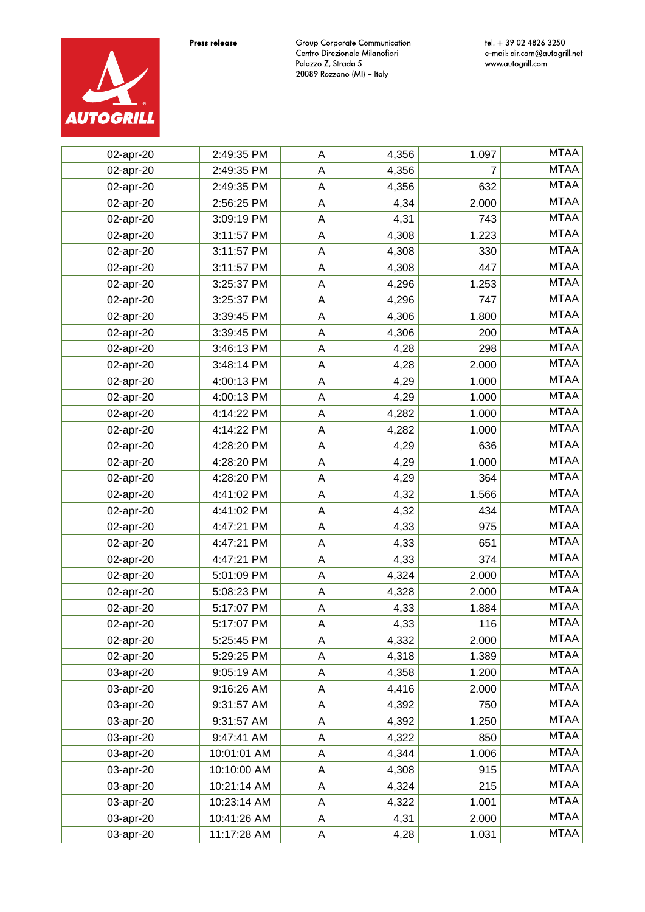

| 02-apr-20 | 2:49:35 PM  | A           | 4,356 | 1.097 | <b>MTAA</b> |
|-----------|-------------|-------------|-------|-------|-------------|
| 02-apr-20 | 2:49:35 PM  | $\mathsf A$ | 4,356 |       | <b>MTAA</b> |
| 02-apr-20 | 2:49:35 PM  | $\mathsf A$ | 4,356 | 632   | <b>MTAA</b> |
| 02-apr-20 | 2:56:25 PM  | $\mathsf A$ | 4,34  | 2.000 | <b>MTAA</b> |
| 02-apr-20 | 3:09:19 PM  | $\mathsf A$ | 4,31  | 743   | <b>MTAA</b> |
| 02-apr-20 | 3:11:57 PM  | $\mathsf A$ | 4,308 | 1.223 | <b>MTAA</b> |
| 02-apr-20 | 3:11:57 PM  | $\mathsf A$ | 4,308 | 330   | <b>MTAA</b> |
| 02-apr-20 | 3:11:57 PM  | $\mathsf A$ | 4,308 | 447   | <b>MTAA</b> |
| 02-apr-20 | 3:25:37 PM  | A           | 4,296 | 1.253 | <b>MTAA</b> |
| 02-apr-20 | 3:25:37 PM  | $\mathsf A$ | 4,296 | 747   | <b>MTAA</b> |
| 02-apr-20 | 3:39:45 PM  | $\mathsf A$ | 4,306 | 1.800 | <b>MTAA</b> |
| 02-apr-20 | 3:39:45 PM  | $\mathsf A$ | 4,306 | 200   | <b>MTAA</b> |
| 02-apr-20 | 3:46:13 PM  | A           | 4,28  | 298   | <b>MTAA</b> |
| 02-apr-20 | 3:48:14 PM  | $\mathsf A$ | 4,28  | 2.000 | <b>MTAA</b> |
| 02-apr-20 | 4:00:13 PM  | A           | 4,29  | 1.000 | <b>MTAA</b> |
| 02-apr-20 | 4:00:13 PM  | $\mathsf A$ | 4,29  | 1.000 | <b>MTAA</b> |
| 02-apr-20 | 4:14:22 PM  | A           | 4,282 | 1.000 | <b>MTAA</b> |
| 02-apr-20 | 4:14:22 PM  | $\mathsf A$ | 4,282 | 1.000 | <b>MTAA</b> |
| 02-apr-20 | 4:28:20 PM  | A           | 4,29  | 636   | <b>MTAA</b> |
| 02-apr-20 | 4:28:20 PM  | $\mathsf A$ | 4,29  | 1.000 | <b>MTAA</b> |
| 02-apr-20 | 4:28:20 PM  | A           | 4,29  | 364   | <b>MTAA</b> |
| 02-apr-20 | 4:41:02 PM  | $\mathsf A$ | 4,32  | 1.566 | <b>MTAA</b> |
| 02-apr-20 | 4:41:02 PM  | A           | 4,32  | 434   | <b>MTAA</b> |
| 02-apr-20 | 4:47:21 PM  | $\mathsf A$ | 4,33  | 975   | <b>MTAA</b> |
| 02-apr-20 | 4:47:21 PM  | A           | 4,33  | 651   | <b>MTAA</b> |
| 02-apr-20 | 4:47:21 PM  | A           | 4,33  | 374   | <b>MTAA</b> |
| 02-apr-20 | 5:01:09 PM  | A           | 4,324 | 2.000 | <b>MTAA</b> |
| 02-apr-20 | 5:08:23 PM  | A           | 4,328 | 2.000 | <b>MTAA</b> |
| 02-apr-20 | 5:17:07 PM  | A           | 4,33  | 1.884 | <b>MTAA</b> |
| 02-apr-20 | 5:17:07 PM  | A           | 4,33  | 116   | <b>MTAA</b> |
| 02-apr-20 | 5:25:45 PM  | A           | 4,332 | 2.000 | <b>MTAA</b> |
| 02-apr-20 | 5:29:25 PM  | A           | 4,318 | 1.389 | <b>MTAA</b> |
| 03-apr-20 | 9:05:19 AM  | Α           | 4,358 | 1.200 | <b>MTAA</b> |
| 03-apr-20 | 9:16:26 AM  | A           | 4,416 | 2.000 | <b>MTAA</b> |
| 03-apr-20 | 9:31:57 AM  | A           | 4,392 | 750   | <b>MTAA</b> |
| 03-apr-20 | 9:31:57 AM  | A           | 4,392 | 1.250 | <b>MTAA</b> |
| 03-apr-20 | 9:47:41 AM  | Α           | 4,322 | 850   | <b>MTAA</b> |
| 03-apr-20 | 10:01:01 AM | $\mathsf A$ | 4,344 | 1.006 | <b>MTAA</b> |
| 03-apr-20 | 10:10:00 AM | A           | 4,308 | 915   | <b>MTAA</b> |
| 03-apr-20 | 10:21:14 AM | $\mathsf A$ | 4,324 | 215   | <b>MTAA</b> |
| 03-apr-20 | 10:23:14 AM | Α           | 4,322 | 1.001 | <b>MTAA</b> |
| 03-apr-20 | 10:41:26 AM | A           | 4,31  | 2.000 | <b>MTAA</b> |
| 03-apr-20 | 11:17:28 AM | A           | 4,28  | 1.031 | <b>MTAA</b> |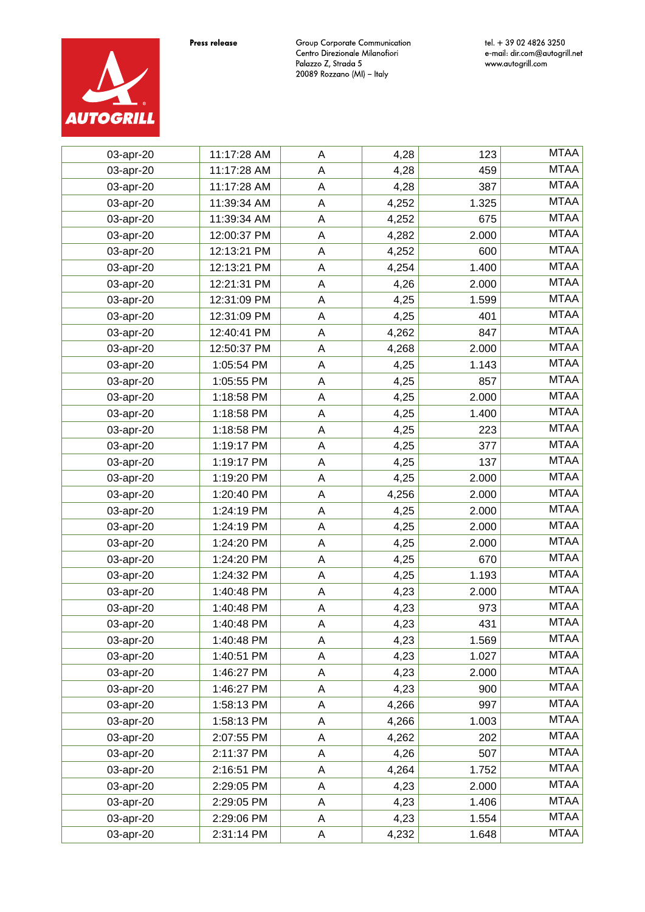



| 03-apr-20 | 11:17:28 AM | A           | 4,28  | 123   | <b>MTAA</b> |
|-----------|-------------|-------------|-------|-------|-------------|
| 03-apr-20 | 11:17:28 AM | $\mathsf A$ | 4,28  | 459   | <b>MTAA</b> |
| 03-apr-20 | 11:17:28 AM | $\mathsf A$ | 4,28  | 387   | <b>MTAA</b> |
| 03-apr-20 | 11:39:34 AM | $\mathsf A$ | 4,252 | 1.325 | <b>MTAA</b> |
| 03-apr-20 | 11:39:34 AM | $\mathsf A$ | 4,252 | 675   | <b>MTAA</b> |
| 03-apr-20 | 12:00:37 PM | $\mathsf A$ | 4,282 | 2.000 | <b>MTAA</b> |
| 03-apr-20 | 12:13:21 PM | $\mathsf A$ | 4,252 | 600   | <b>MTAA</b> |
| 03-apr-20 | 12:13:21 PM | $\sf A$     | 4,254 | 1.400 | <b>MTAA</b> |
| 03-apr-20 | 12:21:31 PM | A           | 4,26  | 2.000 | <b>MTAA</b> |
| 03-apr-20 | 12:31:09 PM | $\mathsf A$ | 4,25  | 1.599 | <b>MTAA</b> |
| 03-apr-20 | 12:31:09 PM | $\mathsf A$ | 4,25  | 401   | <b>MTAA</b> |
| 03-apr-20 | 12:40:41 PM | A           | 4,262 | 847   | <b>MTAA</b> |
| 03-apr-20 | 12:50:37 PM | A           | 4,268 | 2.000 | <b>MTAA</b> |
| 03-apr-20 | 1:05:54 PM  | $\mathsf A$ | 4,25  | 1.143 | <b>MTAA</b> |
| 03-apr-20 | 1:05:55 PM  | A           | 4,25  | 857   | <b>MTAA</b> |
| 03-apr-20 | 1:18:58 PM  | $\mathsf A$ | 4,25  | 2.000 | <b>MTAA</b> |
| 03-apr-20 | 1:18:58 PM  | A           | 4,25  | 1.400 | <b>MTAA</b> |
| 03-apr-20 | 1:18:58 PM  | $\mathsf A$ | 4,25  | 223   | <b>MTAA</b> |
| 03-apr-20 | 1:19:17 PM  | A           | 4,25  | 377   | <b>MTAA</b> |
| 03-apr-20 | 1:19:17 PM  | A           | 4,25  | 137   | <b>MTAA</b> |
| 03-apr-20 | 1:19:20 PM  | A           | 4,25  | 2.000 | <b>MTAA</b> |
| 03-apr-20 | 1:20:40 PM  | A           | 4,256 | 2.000 | <b>MTAA</b> |
| 03-apr-20 | 1:24:19 PM  | A           | 4,25  | 2.000 | <b>MTAA</b> |
| 03-apr-20 | 1:24:19 PM  | A           | 4,25  | 2.000 | <b>MTAA</b> |
| 03-apr-20 | 1:24:20 PM  | A           | 4,25  | 2.000 | <b>MTAA</b> |
| 03-apr-20 | 1:24:20 PM  | A           | 4,25  | 670   | <b>MTAA</b> |
| 03-apr-20 | 1:24:32 PM  | A           | 4,25  | 1.193 | <b>MTAA</b> |
| 03-apr-20 | 1:40:48 PM  | A           | 4,23  | 2.000 | <b>MTAA</b> |
| 03-apr-20 | 1:40:48 PM  | Α           | 4,23  | 973   | <b>MTAA</b> |
| 03-apr-20 | 1:40:48 PM  | A           | 4,23  | 431   | <b>MTAA</b> |
| 03-apr-20 | 1:40:48 PM  | A           | 4,23  | 1.569 | <b>MTAA</b> |
| 03-apr-20 | 1:40:51 PM  | A           | 4,23  | 1.027 | <b>MTAA</b> |
| 03-apr-20 | 1:46:27 PM  | Α           | 4,23  | 2.000 | <b>MTAA</b> |
| 03-apr-20 | 1:46:27 PM  | A           | 4,23  | 900   | <b>MTAA</b> |
| 03-apr-20 | 1:58:13 PM  | A           | 4,266 | 997   | <b>MTAA</b> |
| 03-apr-20 | 1:58:13 PM  | $\mathsf A$ | 4,266 | 1.003 | <b>MTAA</b> |
| 03-apr-20 | 2:07:55 PM  | Α           | 4,262 | 202   | <b>MTAA</b> |
| 03-apr-20 | 2:11:37 PM  | $\mathsf A$ | 4,26  | 507   | <b>MTAA</b> |
| 03-apr-20 | 2:16:51 PM  | Α           | 4,264 | 1.752 | <b>MTAA</b> |
| 03-apr-20 | 2:29:05 PM  | $\mathsf A$ | 4,23  | 2.000 | <b>MTAA</b> |
| 03-apr-20 | 2:29:05 PM  | A           | 4,23  | 1.406 | <b>MTAA</b> |
| 03-apr-20 | 2:29:06 PM  | $\mathsf A$ | 4,23  | 1.554 | <b>MTAA</b> |
| 03-apr-20 | 2:31:14 PM  | A           | 4,232 | 1.648 | <b>MTAA</b> |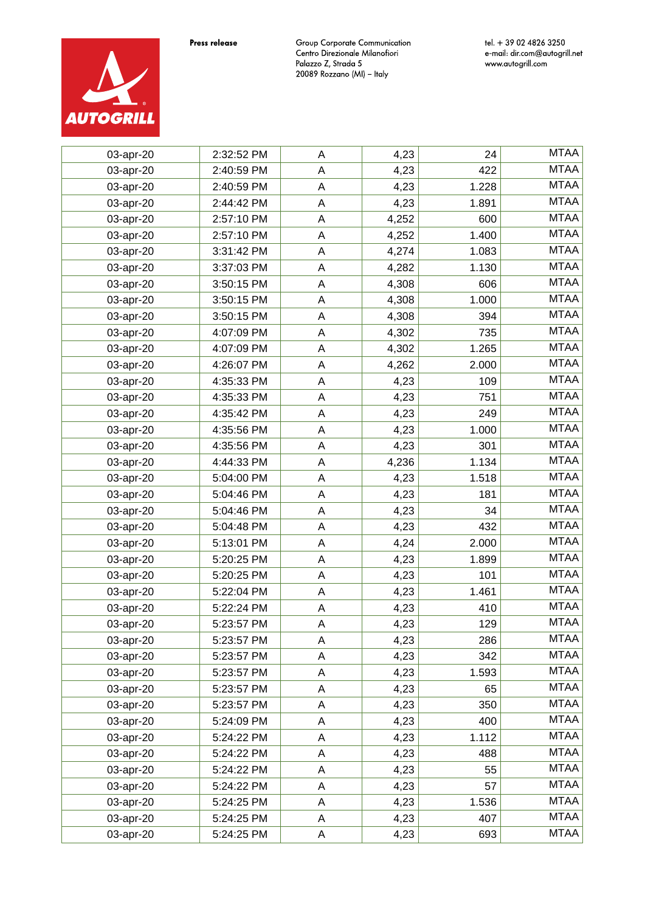

tel. + 39 02 4826 3250 e-mail: dir.com@autogrill.net<br>www.autogrill.com

| 03-apr-20 | 2:32:52 PM | A           | 4,23  | 24    | <b>MTAA</b> |
|-----------|------------|-------------|-------|-------|-------------|
| 03-apr-20 | 2:40:59 PM | A           | 4,23  | 422   | <b>MTAA</b> |
| 03-apr-20 | 2:40:59 PM | A           | 4,23  | 1.228 | <b>MTAA</b> |
| 03-apr-20 | 2:44:42 PM | A           | 4,23  | 1.891 | <b>MTAA</b> |
| 03-apr-20 | 2:57:10 PM | A           | 4,252 | 600   | <b>MTAA</b> |
| 03-apr-20 | 2:57:10 PM | A           | 4,252 | 1.400 | <b>MTAA</b> |
| 03-apr-20 | 3:31:42 PM | A           | 4,274 | 1.083 | <b>MTAA</b> |
| 03-apr-20 | 3:37:03 PM | A           | 4,282 | 1.130 | <b>MTAA</b> |
| 03-apr-20 | 3:50:15 PM | A           | 4,308 | 606   | <b>MTAA</b> |
| 03-apr-20 | 3:50:15 PM | A           | 4,308 | 1.000 | <b>MTAA</b> |
| 03-apr-20 | 3:50:15 PM | A           | 4,308 | 394   | <b>MTAA</b> |
| 03-apr-20 | 4:07:09 PM | A           | 4,302 | 735   | <b>MTAA</b> |
| 03-apr-20 | 4:07:09 PM | A           | 4,302 | 1.265 | <b>MTAA</b> |
| 03-apr-20 | 4:26:07 PM | A           | 4,262 | 2.000 | <b>MTAA</b> |
| 03-apr-20 | 4:35:33 PM | $\mathsf A$ | 4,23  | 109   | <b>MTAA</b> |
| 03-apr-20 | 4:35:33 PM | A           | 4,23  | 751   | <b>MTAA</b> |
| 03-apr-20 | 4:35:42 PM | A           | 4,23  | 249   | <b>MTAA</b> |
| 03-apr-20 | 4:35:56 PM | A           | 4,23  | 1.000 | <b>MTAA</b> |
| 03-apr-20 | 4:35:56 PM | A           | 4,23  | 301   | <b>MTAA</b> |
| 03-apr-20 | 4:44:33 PM | A           | 4,236 | 1.134 | <b>MTAA</b> |
| 03-apr-20 | 5:04:00 PM | $\mathsf A$ | 4,23  | 1.518 | <b>MTAA</b> |
| 03-apr-20 | 5:04:46 PM | A           | 4,23  | 181   | <b>MTAA</b> |
| 03-apr-20 | 5:04:46 PM | $\mathsf A$ | 4,23  | 34    | <b>MTAA</b> |
| 03-apr-20 | 5:04:48 PM | A           | 4,23  | 432   | <b>MTAA</b> |
| 03-apr-20 | 5:13:01 PM | $\mathsf A$ | 4,24  | 2.000 | <b>MTAA</b> |
| 03-apr-20 | 5:20:25 PM | A           | 4,23  | 1.899 | <b>MTAA</b> |
| 03-apr-20 | 5:20:25 PM | $\mathsf A$ | 4,23  | 101   | <b>MTAA</b> |
| 03-apr-20 | 5:22:04 PM | Α           | 4,23  | 1.461 | <b>MTAA</b> |
| 03-apr-20 | 5:22:24 PM | A           | 4,23  | 410   | <b>MTAA</b> |
| 03-apr-20 | 5:23:57 PM | Α           | 4,23  | 129   | <b>MTAA</b> |
| 03-apr-20 | 5:23:57 PM | A           | 4,23  | 286   | <b>MTAA</b> |
| 03-apr-20 | 5:23:57 PM | A           | 4,23  | 342   | <b>MTAA</b> |
| 03-apr-20 | 5:23:57 PM | A           | 4,23  | 1.593 | <b>MTAA</b> |
| 03-apr-20 | 5:23:57 PM | Α           | 4,23  | 65    | <b>MTAA</b> |
| 03-apr-20 | 5:23:57 PM | A           | 4,23  | 350   | <b>MTAA</b> |
| 03-apr-20 | 5:24:09 PM | Α           | 4,23  | 400   | <b>MTAA</b> |
| 03-apr-20 | 5:24:22 PM | A           | 4,23  | 1.112 | <b>MTAA</b> |
| 03-apr-20 | 5:24:22 PM | Α           | 4,23  | 488   | <b>MTAA</b> |
| 03-apr-20 | 5:24:22 PM | A           | 4,23  | 55    | <b>MTAA</b> |
| 03-apr-20 | 5:24:22 PM | Α           | 4,23  | 57    | <b>MTAA</b> |
| 03-apr-20 | 5:24:25 PM | A           | 4,23  | 1.536 | <b>MTAA</b> |
| 03-apr-20 | 5:24:25 PM | Α           | 4,23  | 407   | <b>MTAA</b> |
| 03-apr-20 | 5:24:25 PM | Α           | 4,23  | 693   | <b>MTAA</b> |